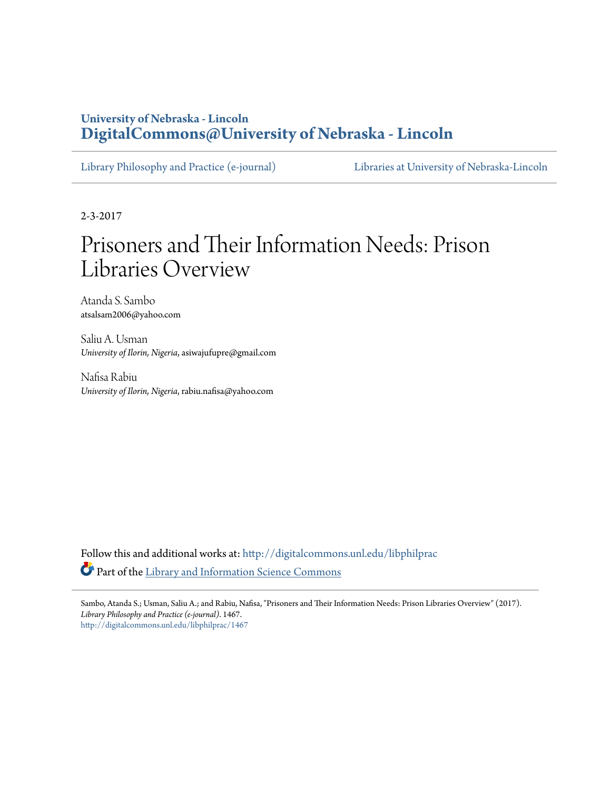## **University of Nebraska - Lincoln [DigitalCommons@University of Nebraska - Lincoln](http://digitalcommons.unl.edu?utm_source=digitalcommons.unl.edu%2Flibphilprac%2F1467&utm_medium=PDF&utm_campaign=PDFCoverPages)**

[Library Philosophy and Practice \(e-journal\)](http://digitalcommons.unl.edu/libphilprac?utm_source=digitalcommons.unl.edu%2Flibphilprac%2F1467&utm_medium=PDF&utm_campaign=PDFCoverPages) [Libraries at University of Nebraska-Lincoln](http://digitalcommons.unl.edu/libraries?utm_source=digitalcommons.unl.edu%2Flibphilprac%2F1467&utm_medium=PDF&utm_campaign=PDFCoverPages)

2-3-2017

# Prisoners and Their Information Needs: Prison Libraries Overview

Atanda S. Sambo atsalsam2006@yahoo.com

Saliu A. Usman *University of Ilorin, Nigeria*, asiwajufupre@gmail.com

Nafisa Rabiu *University of Ilorin, Nigeria*, rabiu.nafisa@yahoo.com

Follow this and additional works at: [http://digitalcommons.unl.edu/libphilprac](http://digitalcommons.unl.edu/libphilprac?utm_source=digitalcommons.unl.edu%2Flibphilprac%2F1467&utm_medium=PDF&utm_campaign=PDFCoverPages) Part of the [Library and Information Science Commons](http://network.bepress.com/hgg/discipline/1018?utm_source=digitalcommons.unl.edu%2Flibphilprac%2F1467&utm_medium=PDF&utm_campaign=PDFCoverPages)

Sambo, Atanda S.; Usman, Saliu A.; and Rabiu, Nafisa, "Prisoners and Their Information Needs: Prison Libraries Overview" (2017). *Library Philosophy and Practice (e-journal)*. 1467. [http://digitalcommons.unl.edu/libphilprac/1467](http://digitalcommons.unl.edu/libphilprac/1467?utm_source=digitalcommons.unl.edu%2Flibphilprac%2F1467&utm_medium=PDF&utm_campaign=PDFCoverPages)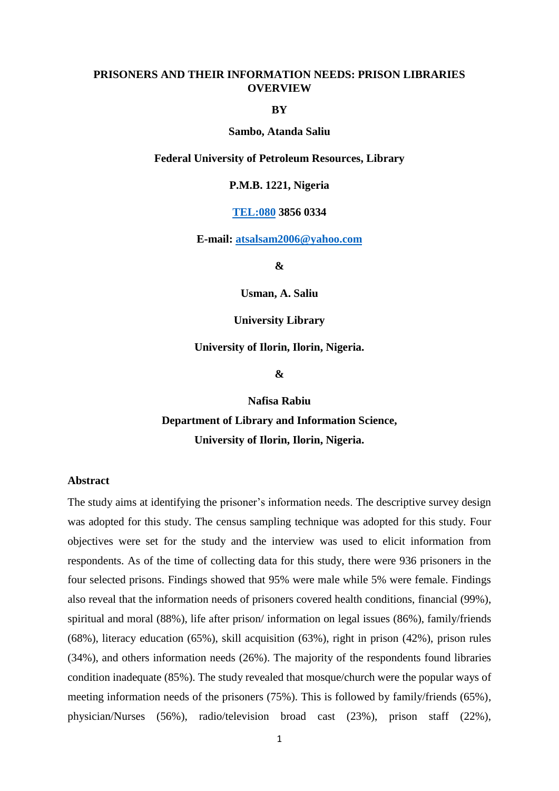## **PRISONERS AND THEIR INFORMATION NEEDS: PRISON LIBRARIES OVERVIEW**

**BY**

### **Sambo, Atanda Saliu**

#### **Federal University of Petroleum Resources, Library**

## **P.M.B. 1221, Nigeria**

## **<TEL:080> 3856 0334**

**E-mail: [atsalsam2006@yahoo.com](mailto:atsalsam2006@yahoo.com)**

**&**

**Usman, A. Saliu**

#### **University Library**

## **University of Ilorin, Ilorin, Nigeria.**

**&**

**Nafisa Rabiu Department of Library and Information Science, University of Ilorin, Ilorin, Nigeria.**

## **Abstract**

The study aims at identifying the prisoner's information needs. The descriptive survey design was adopted for this study. The census sampling technique was adopted for this study. Four objectives were set for the study and the interview was used to elicit information from respondents. As of the time of collecting data for this study, there were 936 prisoners in the four selected prisons. Findings showed that 95% were male while 5% were female. Findings also reveal that the information needs of prisoners covered health conditions, financial (99%), spiritual and moral (88%), life after prison/ information on legal issues (86%), family/friends (68%), literacy education (65%), skill acquisition (63%), right in prison (42%), prison rules (34%), and others information needs (26%). The majority of the respondents found libraries condition inadequate (85%). The study revealed that mosque/church were the popular ways of meeting information needs of the prisoners (75%). This is followed by family/friends (65%), physician/Nurses (56%), radio/television broad cast (23%), prison staff (22%),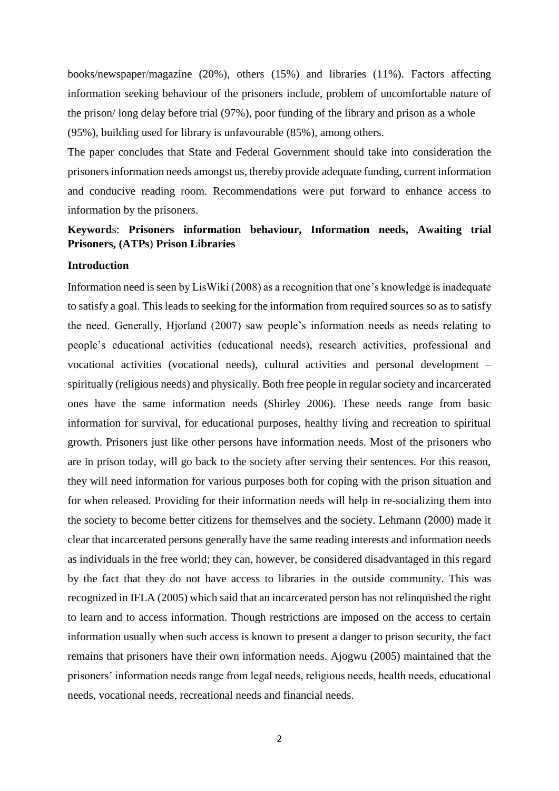books/newspaper/magazine (20%), others (15%) and libraries (11%). Factors affecting information seeking behaviour of the prisoners include, problem of uncomfortable nature of the prison/ long delay before trial (97%), poor funding of the library and prison as a whole (95%), building used for library is unfavourable (85%), among others.

The paper concludes that State and Federal Government should take into consideration the prisoners information needs amongst us, thereby provide adequate funding, current information and conducive reading room. Recommendations were put forward to enhance access to information by the prisoners.

## **Keyword**s: **Prisoners information behaviour, Information needs, Awaiting trial Prisoners, (ATPs**) **Prison Libraries**

## **Introduction**

Information need is seen by LisWiki (2008) as a recognition that one's knowledge is inadequate to satisfy a goal. This leads to seeking for the information from required sources so as to satisfy the need. Generally, Hjorland (2007) saw people's information needs as needs relating to people's educational activities (educational needs), research activities, professional and vocational activities (vocational needs), cultural activities and personal development – spiritually (religious needs) and physically. Both free people in regular society and incarcerated ones have the same information needs (Shirley 2006). These needs range from basic information for survival, for educational purposes, healthy living and recreation to spiritual growth. Prisoners just like other persons have information needs. Most of the prisoners who are in prison today, will go back to the society after serving their sentences. For this reason, they will need information for various purposes both for coping with the prison situation and for when released. Providing for their information needs will help in re-socializing them into the society to become better citizens for themselves and the society. Lehmann (2000) made it clear that incarcerated persons generally have the same reading interests and information needs as individuals in the free world; they can, however, be considered disadvantaged in this regard by the fact that they do not have access to libraries in the outside community. This was recognized in IFLA (2005) which said that an incarcerated person has not relinquished the right to learn and to access information. Though restrictions are imposed on the access to certain information usually when such access is known to present a danger to prison security, the fact remains that prisoners have their own information needs. Ajogwu (2005) maintained that the prisoners' information needs range from legal needs, religious needs, health needs, educational needs, vocational needs, recreational needs and financial needs.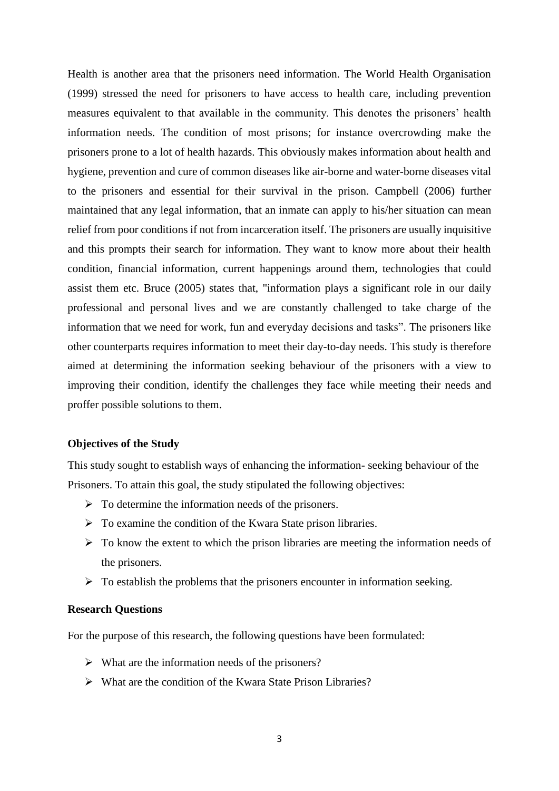Health is another area that the prisoners need information. The World Health Organisation (1999) stressed the need for prisoners to have access to health care, including prevention measures equivalent to that available in the community. This denotes the prisoners' health information needs. The condition of most prisons; for instance overcrowding make the prisoners prone to a lot of health hazards. This obviously makes information about health and hygiene, prevention and cure of common diseases like air-borne and water-borne diseases vital to the prisoners and essential for their survival in the prison. Campbell (2006) further maintained that any legal information, that an inmate can apply to his/her situation can mean relief from poor conditions if not from incarceration itself. The prisoners are usually inquisitive and this prompts their search for information. They want to know more about their health condition, financial information, current happenings around them, technologies that could assist them etc. Bruce (2005) states that, "information plays a significant role in our daily professional and personal lives and we are constantly challenged to take charge of the information that we need for work, fun and everyday decisions and tasks". The prisoners like other counterparts requires information to meet their day-to-day needs. This study is therefore aimed at determining the information seeking behaviour of the prisoners with a view to improving their condition, identify the challenges they face while meeting their needs and proffer possible solutions to them.

#### **Objectives of the Study**

This study sought to establish ways of enhancing the information- seeking behaviour of the Prisoners. To attain this goal, the study stipulated the following objectives:

- $\triangleright$  To determine the information needs of the prisoners.
- $\triangleright$  To examine the condition of the Kwara State prison libraries.
- $\triangleright$  To know the extent to which the prison libraries are meeting the information needs of the prisoners.
- $\triangleright$  To establish the problems that the prisoners encounter in information seeking.

#### **Research Questions**

For the purpose of this research, the following questions have been formulated:

- $\triangleright$  What are the information needs of the prisoners?
- What are the condition of the Kwara State Prison Libraries?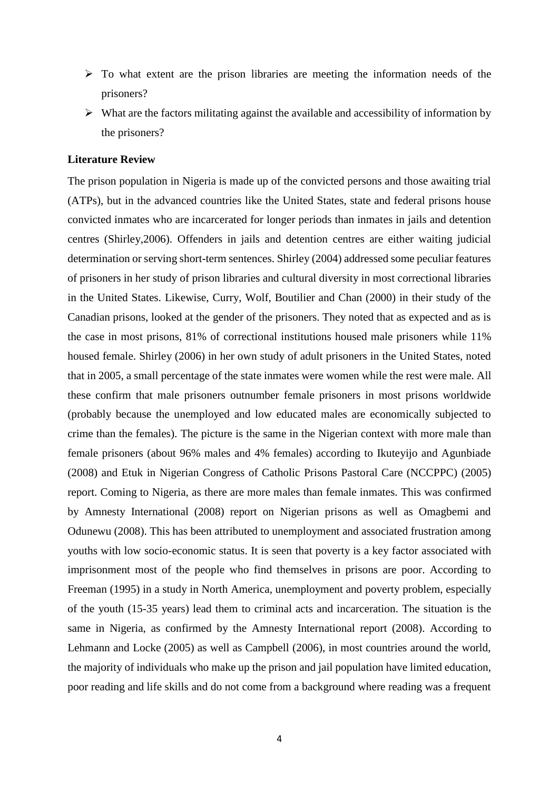- $\triangleright$  To what extent are the prison libraries are meeting the information needs of the prisoners?
- $\triangleright$  What are the factors militating against the available and accessibility of information by the prisoners?

## **Literature Review**

The prison population in Nigeria is made up of the convicted persons and those awaiting trial (ATPs), but in the advanced countries like the United States, state and federal prisons house convicted inmates who are incarcerated for longer periods than inmates in jails and detention centres (Shirley,2006). Offenders in jails and detention centres are either waiting judicial determination or serving short-term sentences. Shirley (2004) addressed some peculiar features of prisoners in her study of prison libraries and cultural diversity in most correctional libraries in the United States. Likewise, Curry, Wolf, Boutilier and Chan (2000) in their study of the Canadian prisons, looked at the gender of the prisoners. They noted that as expected and as is the case in most prisons, 81% of correctional institutions housed male prisoners while 11% housed female. Shirley (2006) in her own study of adult prisoners in the United States, noted that in 2005, a small percentage of the state inmates were women while the rest were male. All these confirm that male prisoners outnumber female prisoners in most prisons worldwide (probably because the unemployed and low educated males are economically subjected to crime than the females). The picture is the same in the Nigerian context with more male than female prisoners (about 96% males and 4% females) according to Ikuteyijo and Agunbiade (2008) and Etuk in Nigerian Congress of Catholic Prisons Pastoral Care (NCCPPC) (2005) report. Coming to Nigeria, as there are more males than female inmates. This was confirmed by Amnesty International (2008) report on Nigerian prisons as well as Omagbemi and Odunewu (2008). This has been attributed to unemployment and associated frustration among youths with low socio-economic status. It is seen that poverty is a key factor associated with imprisonment most of the people who find themselves in prisons are poor. According to Freeman (1995) in a study in North America, unemployment and poverty problem, especially of the youth (15-35 years) lead them to criminal acts and incarceration. The situation is the same in Nigeria, as confirmed by the Amnesty International report (2008). According to Lehmann and Locke (2005) as well as Campbell (2006), in most countries around the world, the majority of individuals who make up the prison and jail population have limited education, poor reading and life skills and do not come from a background where reading was a frequent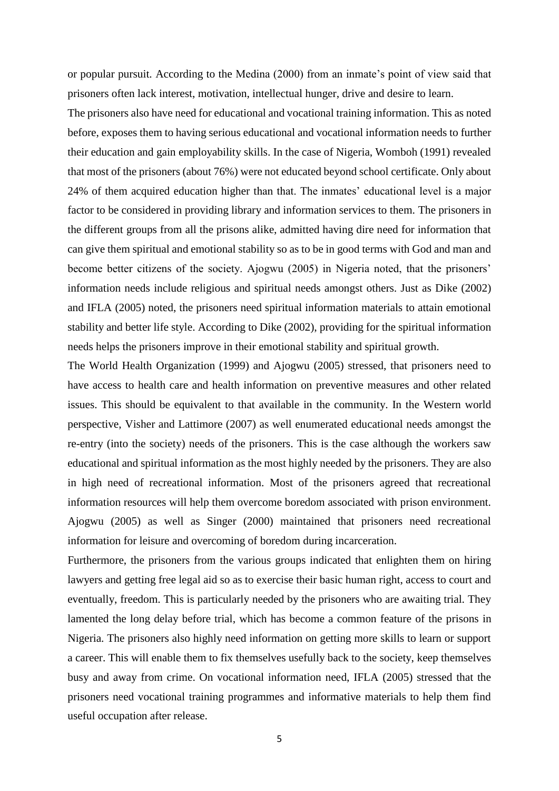or popular pursuit. According to the Medina (2000) from an inmate's point of view said that prisoners often lack interest, motivation, intellectual hunger, drive and desire to learn.

The prisoners also have need for educational and vocational training information. This as noted before, exposes them to having serious educational and vocational information needs to further their education and gain employability skills. In the case of Nigeria, Womboh (1991) revealed that most of the prisoners (about 76%) were not educated beyond school certificate. Only about 24% of them acquired education higher than that. The inmates' educational level is a major factor to be considered in providing library and information services to them. The prisoners in the different groups from all the prisons alike, admitted having dire need for information that can give them spiritual and emotional stability so as to be in good terms with God and man and become better citizens of the society. Ajogwu (2005) in Nigeria noted, that the prisoners' information needs include religious and spiritual needs amongst others. Just as Dike (2002) and IFLA (2005) noted, the prisoners need spiritual information materials to attain emotional stability and better life style. According to Dike (2002), providing for the spiritual information needs helps the prisoners improve in their emotional stability and spiritual growth.

The World Health Organization (1999) and Ajogwu (2005) stressed, that prisoners need to have access to health care and health information on preventive measures and other related issues. This should be equivalent to that available in the community. In the Western world perspective, Visher and Lattimore (2007) as well enumerated educational needs amongst the re-entry (into the society) needs of the prisoners. This is the case although the workers saw educational and spiritual information as the most highly needed by the prisoners. They are also in high need of recreational information. Most of the prisoners agreed that recreational information resources will help them overcome boredom associated with prison environment. Ajogwu (2005) as well as Singer (2000) maintained that prisoners need recreational information for leisure and overcoming of boredom during incarceration.

Furthermore, the prisoners from the various groups indicated that enlighten them on hiring lawyers and getting free legal aid so as to exercise their basic human right, access to court and eventually, freedom. This is particularly needed by the prisoners who are awaiting trial. They lamented the long delay before trial, which has become a common feature of the prisons in Nigeria. The prisoners also highly need information on getting more skills to learn or support a career. This will enable them to fix themselves usefully back to the society, keep themselves busy and away from crime. On vocational information need, IFLA (2005) stressed that the prisoners need vocational training programmes and informative materials to help them find useful occupation after release.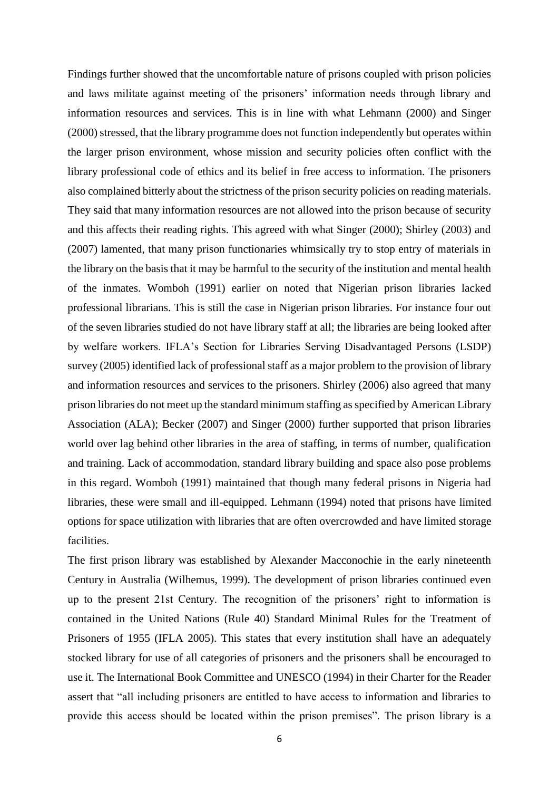Findings further showed that the uncomfortable nature of prisons coupled with prison policies and laws militate against meeting of the prisoners' information needs through library and information resources and services. This is in line with what Lehmann (2000) and Singer (2000) stressed, that the library programme does not function independently but operates within the larger prison environment, whose mission and security policies often conflict with the library professional code of ethics and its belief in free access to information. The prisoners also complained bitterly about the strictness of the prison security policies on reading materials. They said that many information resources are not allowed into the prison because of security and this affects their reading rights. This agreed with what Singer (2000); Shirley (2003) and (2007) lamented, that many prison functionaries whimsically try to stop entry of materials in the library on the basis that it may be harmful to the security of the institution and mental health of the inmates. Womboh (1991) earlier on noted that Nigerian prison libraries lacked professional librarians. This is still the case in Nigerian prison libraries. For instance four out of the seven libraries studied do not have library staff at all; the libraries are being looked after by welfare workers. IFLA's Section for Libraries Serving Disadvantaged Persons (LSDP) survey (2005) identified lack of professional staff as a major problem to the provision of library and information resources and services to the prisoners. Shirley (2006) also agreed that many prison libraries do not meet up the standard minimum staffing as specified by American Library Association (ALA); Becker (2007) and Singer (2000) further supported that prison libraries world over lag behind other libraries in the area of staffing, in terms of number, qualification and training. Lack of accommodation, standard library building and space also pose problems in this regard. Womboh (1991) maintained that though many federal prisons in Nigeria had libraries, these were small and ill-equipped. Lehmann (1994) noted that prisons have limited options for space utilization with libraries that are often overcrowded and have limited storage facilities.

The first prison library was established by Alexander Macconochie in the early nineteenth Century in Australia (Wilhemus, 1999). The development of prison libraries continued even up to the present 21st Century. The recognition of the prisoners' right to information is contained in the United Nations (Rule 40) Standard Minimal Rules for the Treatment of Prisoners of 1955 (IFLA 2005). This states that every institution shall have an adequately stocked library for use of all categories of prisoners and the prisoners shall be encouraged to use it. The International Book Committee and UNESCO (1994) in their Charter for the Reader assert that "all including prisoners are entitled to have access to information and libraries to provide this access should be located within the prison premises". The prison library is a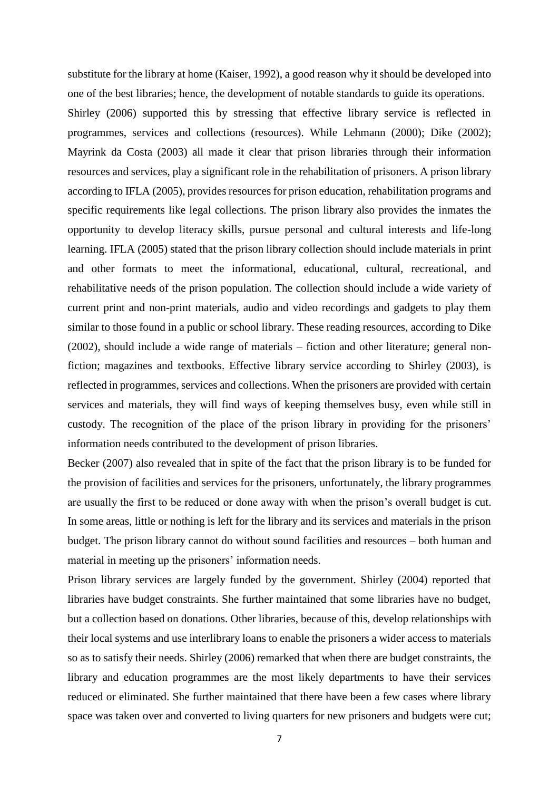substitute for the library at home (Kaiser, 1992), a good reason why it should be developed into one of the best libraries; hence, the development of notable standards to guide its operations.

Shirley (2006) supported this by stressing that effective library service is reflected in programmes, services and collections (resources). While Lehmann (2000); Dike (2002); Mayrink da Costa (2003) all made it clear that prison libraries through their information resources and services, play a significant role in the rehabilitation of prisoners. A prison library according to IFLA (2005), provides resources for prison education, rehabilitation programs and specific requirements like legal collections. The prison library also provides the inmates the opportunity to develop literacy skills, pursue personal and cultural interests and life-long learning. IFLA (2005) stated that the prison library collection should include materials in print and other formats to meet the informational, educational, cultural, recreational, and rehabilitative needs of the prison population. The collection should include a wide variety of current print and non-print materials, audio and video recordings and gadgets to play them similar to those found in a public or school library. These reading resources, according to Dike (2002), should include a wide range of materials – fiction and other literature; general nonfiction; magazines and textbooks. Effective library service according to Shirley (2003), is reflected in programmes, services and collections. When the prisoners are provided with certain services and materials, they will find ways of keeping themselves busy, even while still in custody. The recognition of the place of the prison library in providing for the prisoners' information needs contributed to the development of prison libraries.

Becker (2007) also revealed that in spite of the fact that the prison library is to be funded for the provision of facilities and services for the prisoners, unfortunately, the library programmes are usually the first to be reduced or done away with when the prison's overall budget is cut. In some areas, little or nothing is left for the library and its services and materials in the prison budget. The prison library cannot do without sound facilities and resources – both human and material in meeting up the prisoners' information needs.

Prison library services are largely funded by the government. Shirley (2004) reported that libraries have budget constraints. She further maintained that some libraries have no budget, but a collection based on donations. Other libraries, because of this, develop relationships with their local systems and use interlibrary loans to enable the prisoners a wider access to materials so as to satisfy their needs. Shirley (2006) remarked that when there are budget constraints, the library and education programmes are the most likely departments to have their services reduced or eliminated. She further maintained that there have been a few cases where library space was taken over and converted to living quarters for new prisoners and budgets were cut;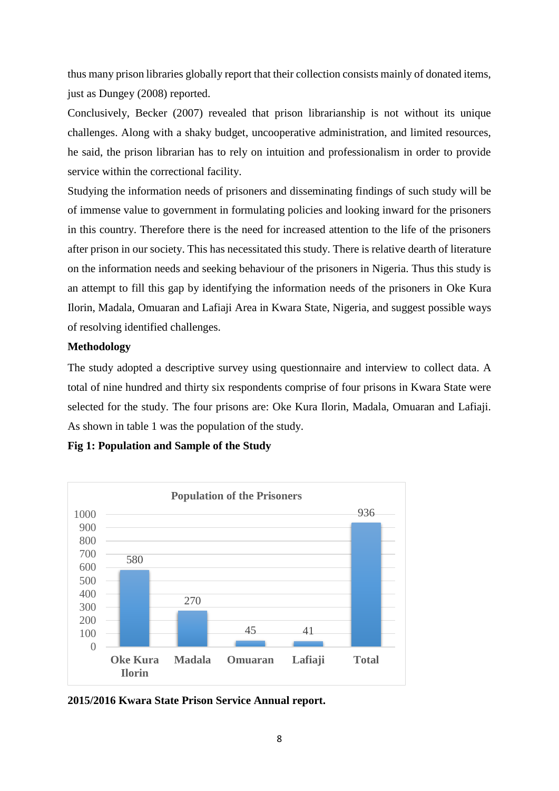thus many prison libraries globally report that their collection consists mainly of donated items, just as Dungey (2008) reported.

Conclusively, Becker (2007) revealed that prison librarianship is not without its unique challenges. Along with a shaky budget, uncooperative administration, and limited resources, he said, the prison librarian has to rely on intuition and professionalism in order to provide service within the correctional facility.

Studying the information needs of prisoners and disseminating findings of such study will be of immense value to government in formulating policies and looking inward for the prisoners in this country. Therefore there is the need for increased attention to the life of the prisoners after prison in our society. This has necessitated this study. There is relative dearth of literature on the information needs and seeking behaviour of the prisoners in Nigeria. Thus this study is an attempt to fill this gap by identifying the information needs of the prisoners in Oke Kura Ilorin, Madala, Omuaran and Lafiaji Area in Kwara State, Nigeria, and suggest possible ways of resolving identified challenges.

## **Methodology**

The study adopted a descriptive survey using questionnaire and interview to collect data. A total of nine hundred and thirty six respondents comprise of four prisons in Kwara State were selected for the study. The four prisons are: Oke Kura Ilorin, Madala, Omuaran and Lafiaji. As shown in table 1 was the population of the study.

**Fig 1: Population and Sample of the Study**



**2015/2016 Kwara State Prison Service Annual report.**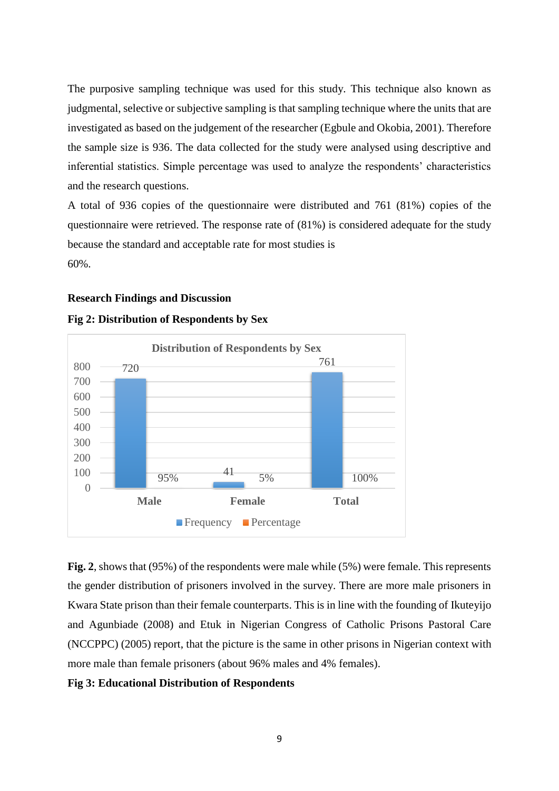The purposive sampling technique was used for this study. This technique also known as judgmental, selective or subjective sampling is that sampling technique where the units that are investigated as based on the judgement of the researcher (Egbule and Okobia, 2001). Therefore the sample size is 936. The data collected for the study were analysed using descriptive and inferential statistics. Simple percentage was used to analyze the respondents' characteristics and the research questions.

A total of 936 copies of the questionnaire were distributed and 761 (81%) copies of the questionnaire were retrieved. The response rate of (81%) is considered adequate for the study because the standard and acceptable rate for most studies is 60%.

#### **Research Findings and Discussion**



#### **Fig 2: Distribution of Respondents by Sex**

**Fig. 2**, shows that (95%) of the respondents were male while (5%) were female. This represents the gender distribution of prisoners involved in the survey. There are more male prisoners in Kwara State prison than their female counterparts. This is in line with the founding of Ikuteyijo and Agunbiade (2008) and Etuk in Nigerian Congress of Catholic Prisons Pastoral Care (NCCPPC) (2005) report, that the picture is the same in other prisons in Nigerian context with more male than female prisoners (about 96% males and 4% females).

## **Fig 3: Educational Distribution of Respondents**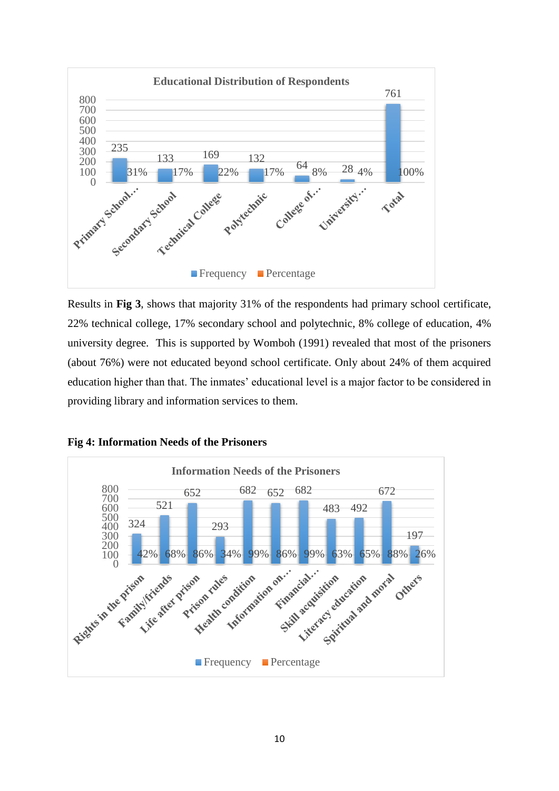

Results in **Fig 3**, shows that majority 31% of the respondents had primary school certificate, 22% technical college, 17% secondary school and polytechnic, 8% college of education, 4% university degree. This is supported by Womboh (1991) revealed that most of the prisoners (about 76%) were not educated beyond school certificate. Only about 24% of them acquired education higher than that. The inmates' educational level is a major factor to be considered in providing library and information services to them.



**Fig 4: Information Needs of the Prisoners**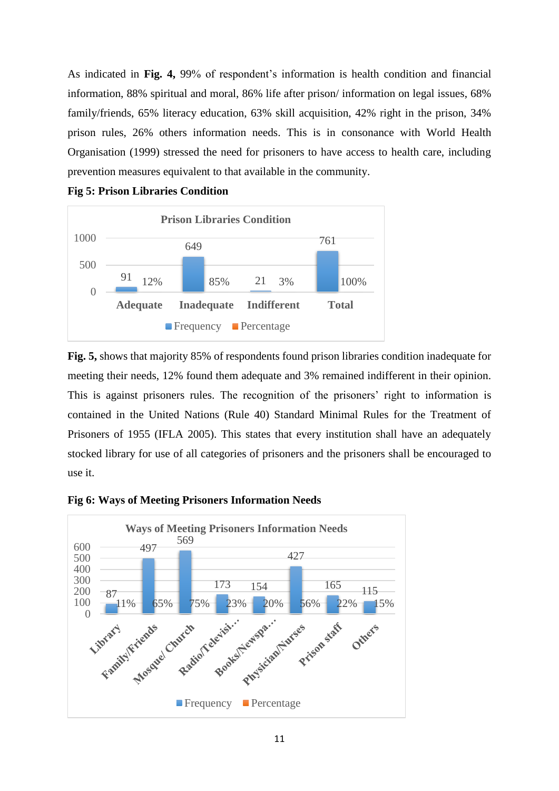As indicated in **Fig. 4,** 99% of respondent's information is health condition and financial information, 88% spiritual and moral, 86% life after prison/ information on legal issues, 68% family/friends, 65% literacy education, 63% skill acquisition, 42% right in the prison, 34% prison rules, 26% others information needs. This is in consonance with World Health Organisation (1999) stressed the need for prisoners to have access to health care, including prevention measures equivalent to that available in the community.



**Fig 5: Prison Libraries Condition**

**Fig. 5,** shows that majority 85% of respondents found prison libraries condition inadequate for meeting their needs, 12% found them adequate and 3% remained indifferent in their opinion. This is against prisoners rules. The recognition of the prisoners' right to information is contained in the United Nations (Rule 40) Standard Minimal Rules for the Treatment of Prisoners of 1955 (IFLA 2005). This states that every institution shall have an adequately stocked library for use of all categories of prisoners and the prisoners shall be encouraged to use it.



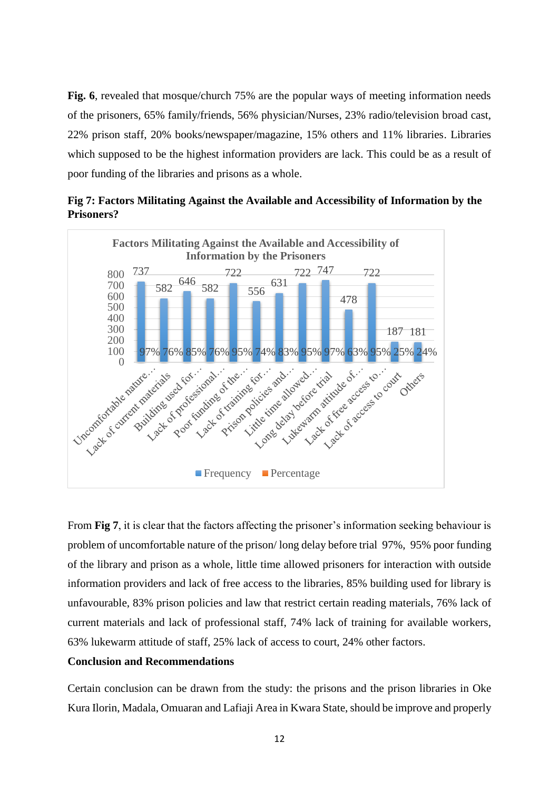**Fig. 6**, revealed that mosque/church 75% are the popular ways of meeting information needs of the prisoners, 65% family/friends, 56% physician/Nurses, 23% radio/television broad cast, 22% prison staff, 20% books/newspaper/magazine, 15% others and 11% libraries. Libraries which supposed to be the highest information providers are lack. This could be as a result of poor funding of the libraries and prisons as a whole.





From **Fig 7**, it is clear that the factors affecting the prisoner's information seeking behaviour is problem of uncomfortable nature of the prison/ long delay before trial 97%, 95% poor funding of the library and prison as a whole, little time allowed prisoners for interaction with outside information providers and lack of free access to the libraries, 85% building used for library is unfavourable, 83% prison policies and law that restrict certain reading materials, 76% lack of current materials and lack of professional staff, 74% lack of training for available workers, 63% lukewarm attitude of staff, 25% lack of access to court, 24% other factors.

## **Conclusion and Recommendations**

Certain conclusion can be drawn from the study: the prisons and the prison libraries in Oke Kura Ilorin, Madala, Omuaran and Lafiaji Area in Kwara State, should be improve and properly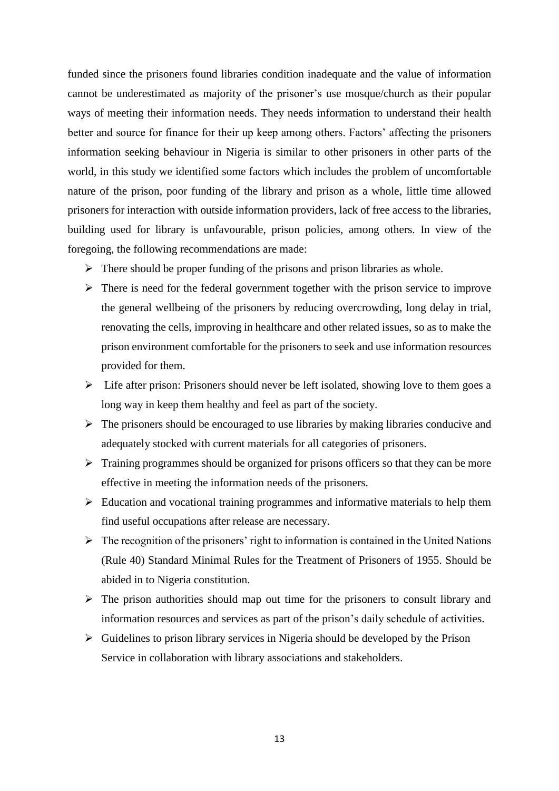funded since the prisoners found libraries condition inadequate and the value of information cannot be underestimated as majority of the prisoner's use mosque/church as their popular ways of meeting their information needs. They needs information to understand their health better and source for finance for their up keep among others. Factors' affecting the prisoners information seeking behaviour in Nigeria is similar to other prisoners in other parts of the world, in this study we identified some factors which includes the problem of uncomfortable nature of the prison, poor funding of the library and prison as a whole, little time allowed prisoners for interaction with outside information providers, lack of free access to the libraries, building used for library is unfavourable, prison policies, among others. In view of the foregoing, the following recommendations are made:

- $\triangleright$  There should be proper funding of the prisons and prison libraries as whole.
- $\triangleright$  There is need for the federal government together with the prison service to improve the general wellbeing of the prisoners by reducing overcrowding, long delay in trial, renovating the cells, improving in healthcare and other related issues, so as to make the prison environment comfortable for the prisoners to seek and use information resources provided for them.
- $\triangleright$  Life after prison: Prisoners should never be left isolated, showing love to them goes a long way in keep them healthy and feel as part of the society.
- $\triangleright$  The prisoners should be encouraged to use libraries by making libraries conducive and adequately stocked with current materials for all categories of prisoners.
- $\triangleright$  Training programmes should be organized for prisons officers so that they can be more effective in meeting the information needs of the prisoners.
- $\triangleright$  Education and vocational training programmes and informative materials to help them find useful occupations after release are necessary.
- $\triangleright$  The recognition of the prisoners' right to information is contained in the United Nations (Rule 40) Standard Minimal Rules for the Treatment of Prisoners of 1955. Should be abided in to Nigeria constitution.
- $\triangleright$  The prison authorities should map out time for the prisoners to consult library and information resources and services as part of the prison's daily schedule of activities.
- $\triangleright$  Guidelines to prison library services in Nigeria should be developed by the Prison Service in collaboration with library associations and stakeholders.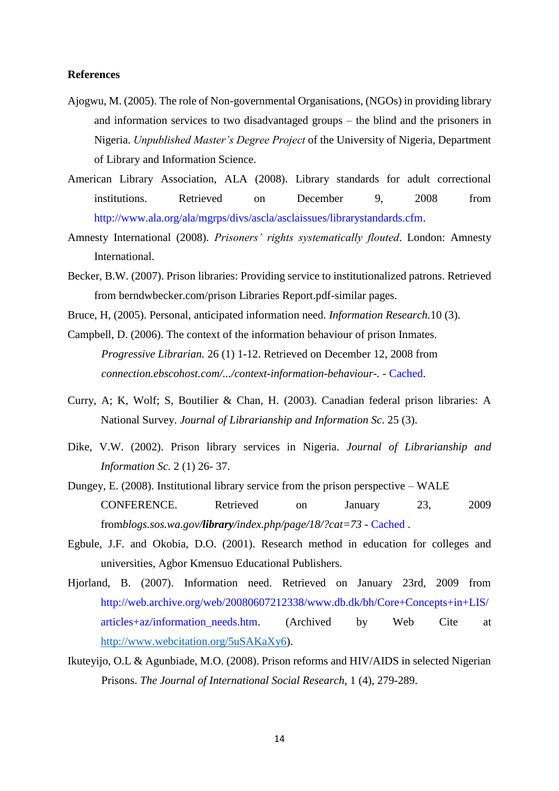## **References**

- Ajogwu, M. (2005). The role of Non-governmental Organisations, (NGOs) in providing library and information services to two disadvantaged groups – the blind and the prisoners in Nigeria. *Unpublished Master's Degree Project* of the University of Nigeria, Department of Library and Information Science.
- American Library Association, ALA (2008). Library standards for adult correctional institutions. Retrieved on December 9, 2008 from http://www.ala.org/ala/mgrps/divs/ascla/asclaissues/librarystandards.cfm.
- Amnesty International (2008). *Prisoners' rights systematically flouted*. London: Amnesty International.
- Becker, B.W. (2007). Prison libraries: Providing service to institutionalized patrons. Retrieved from berndwbecker.com/prison Libraries Report.pdf-similar pages.
- Bruce, H, (2005). Personal, anticipated information need. *Information Research.*10 (3).
- Campbell, D. (2006). The context of the information behaviour of prison Inmates. *Progressive Librarian.* 26 (1) 1-12. Retrieved on December 12, 2008 from *connection.ebscohost.com/.../context-information-behaviour-.* - Cached.
- Curry, A; K, Wolf; S, Boutilier & Chan, H. (2003). Canadian federal prison libraries: A National Survey. *Journal of Librarianship and Information Sc*. 25 (3).
- Dike, V.W. (2002). Prison library services in Nigeria. *Journal of Librarianship and Information Sc.* 2 (1) 26- 37.
- Dungey, E. (2008). Institutional library service from the prison perspective WALE CONFERENCE. Retrieved on January 23, 2009 from*blogs.sos.wa.gov/library/index.php/page/18/?cat=73* - Cached .
- Egbule, J.F. and Okobia, D.O. (2001). Research method in education for colleges and universities, Agbor Kmensuo Educational Publishers.
- Hjorland, B. (2007). Information need. Retrieved on January 23rd, 2009 from http://web.archive.org/web/20080607212338/www.db.dk/bh/Core+Concepts+in+LIS/ articles+az/information\_needs.htm. (Archived by Web Cite at [http://www.webcitation.org/5uSAKaXy6\)](http://www.webcitation.org/5uSAKaXy6).
- Ikuteyijo, O.L & Agunbiade, M.O. (2008). Prison reforms and HIV/AIDS in selected Nigerian Prisons. *The Journal of International Social Research*, 1 (4), 279-289.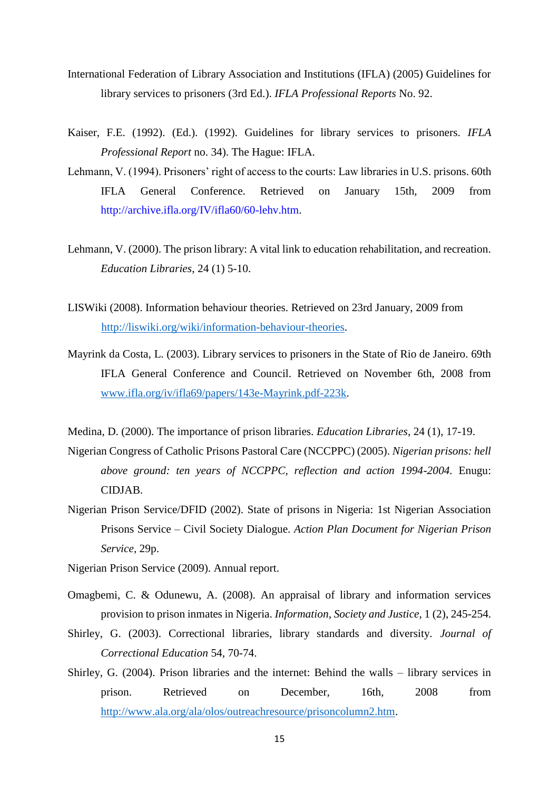- International Federation of Library Association and Institutions (IFLA) (2005) Guidelines for library services to prisoners (3rd Ed.). *IFLA Professional Reports* No. 92.
- Kaiser, F.E. (1992). (Ed.). (1992). Guidelines for library services to prisoners. *IFLA Professional Report* no. 34). The Hague: IFLA.
- Lehmann, V. (1994). Prisoners' right of access to the courts: Law libraries in U.S. prisons. 60th IFLA General Conference. Retrieved on January 15th, 2009 from http://archive.ifla.org/IV/ifla60/60-lehv.htm.
- Lehmann, V. (2000). The prison library: A vital link to education rehabilitation, and recreation. *Education Libraries*, 24 (1) 5-10.
- LISWiki (2008). Information behaviour theories. Retrieved on 23rd January, 2009 from [http://liswiki.org/wiki/information-behaviour-theories.](http://liswiki.org/wiki/information-behaviour-theories)
- Mayrink da Costa, L. (2003). Library services to prisoners in the State of Rio de Janeiro. 69th IFLA General Conference and Council. Retrieved on November 6th, 2008 from [www.ifla.org/iv/ifla69/papers/143e-Mayrink.pdf-223k.](http://www.ifla.org/iv/ifla69/papers/143e-Mayrink.pdf-223k)

Medina, D. (2000). The importance of prison libraries. *Education Libraries*, 24 (1), 17-19.

- Nigerian Congress of Catholic Prisons Pastoral Care (NCCPPC) (2005). *Nigerian prisons: hell above ground: ten years of NCCPPC, reflection and action 1994-2004.* Enugu: CIDJAB.
- Nigerian Prison Service/DFID (2002). State of prisons in Nigeria: 1st Nigerian Association Prisons Service – Civil Society Dialogue. *Action Plan Document for Nigerian Prison Service,* 29p.
- Nigerian Prison Service (2009). Annual report.
- Omagbemi, C. & Odunewu, A. (2008). An appraisal of library and information services provision to prison inmates in Nigeria. *Information, Society and Justice*, 1 (2), 245-254.
- Shirley, G. (2003). Correctional libraries, library standards and diversity. *Journal of Correctional Education* 54, 70-74.
- Shirley, G. (2004). Prison libraries and the internet: Behind the walls library services in prison. Retrieved on December, 16th, 2008 from [http://www.ala.org/ala/olos/outreachresource/prisoncolumn2.htm.](http://www.ala.org/ala/olos/outreachresource/prisoncolumn2.htm)